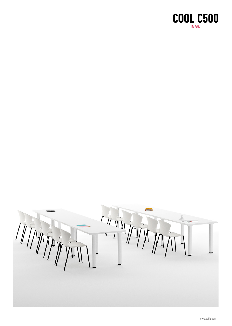

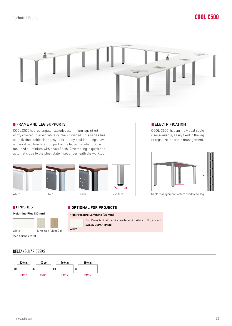

## **FRAME AND LEG SUPPORTS ELECTRIFICATION**

COOL C500 has rectangular extruded aluminium legs 68x68mm, epoxy covered in silver, white or black finished. This series has an individual cable riser easy to fix at any position. Legs have anti-skid pad levellers. Top part of the leg is manufactured with moulded aluminium with epoxy finish. Assembling is quick and automatic due to the steel plate inset underneath the worktop.



COOL C500 has an individual cable riser available, easily fixed to the leg to organize the cable management.



Levellers **Levellers Cable management system fixed to the leg** 

## **FINISHES**

### Melamine Plus (30mm)



# **OPTIONAL FOR PROJECTS**

#### **High Pressure Laminate (25 mm)**



For Projects that require surfaces in White HPL, consult **SALES DEPARTMENT.**

(see finishes card)

## RECTANGULAR DESKS

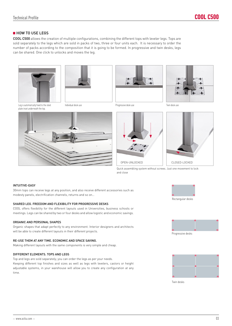## **HOW TO USE LEGS**

COOL C500 allows the creation of multiple configurations, combining the different tops with leveler legs. Tops are sold separately to the legs which are sold in packs of two, three or four units each. It is necessary to order the number of packs according to the composition that it is going to be formed. In progressive and twin desks, legs can be shared. One click to unlocks and moves the leg.











Leg is automatically fixed to the steel Individual desk use plate inset underneath the top.







Quick assembling system without screws. Just one movement to lock and close

#### INTUITIVE-EASY

30mm tops can receive legs at any position, and also receive different accessories such as modesty panels, electrification channels, returns and so on…

#### SHARED LEG. FREEDOM AND FLEXIBILITY FOR PROGRESSIVE DESKS

COOL offers flexibility for the different layouts used in Universities, business schools or meetings. Legs can be shared by two or four desks and allow logistic and economic savings.

#### ORGANIC AND PERSONAL SHAPES

Organic shapes that adapt perfectly to any environment. Interior designers and architects will be able to create different layouts in their different projects.

#### RE-USE THEM AT ANY TIME. ECONOMIC AND SPACE SAVING.

Making different layouts with the same components is very simple and cheap.

#### DIFFERENT ELEMENTS. TOPS AND LEGS

Top and legs are sold separately; you can order the legs as per your needs. Keeping different top finishes and sizes as well as legs with levelers, castors or height adjustable systems, in your warehouse will allow you to create any configuration at any time.







Twin desks